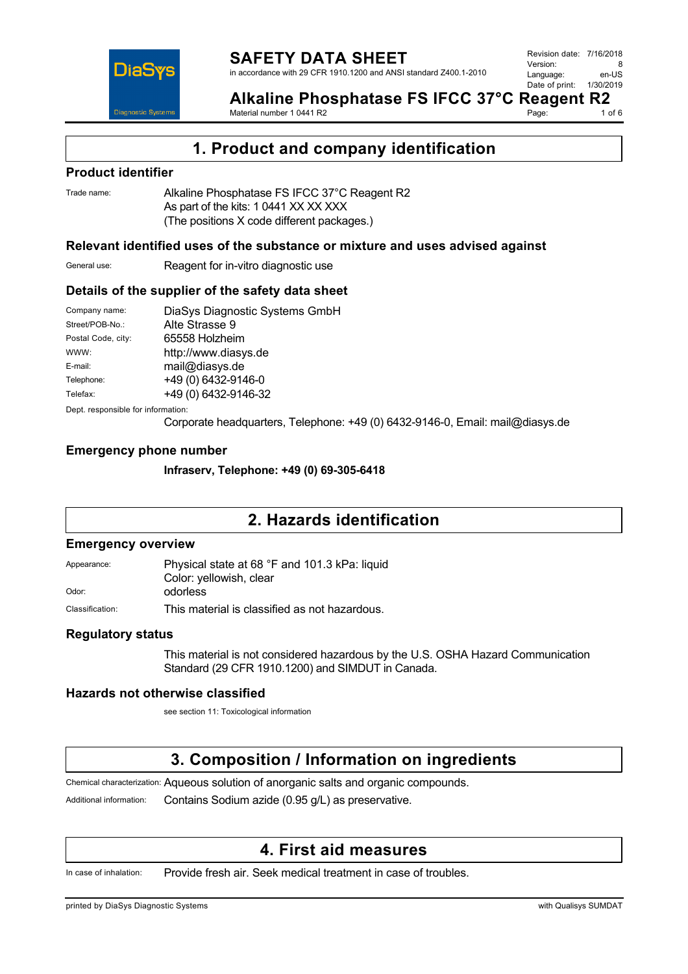

**Alkaline Phosphatase FS IFCC 37°C Reagent R2**<br>Material number 10441 R2<br>1 of 6 Material number 1 0441 R2 Page:

**1. Product and company identification**

## **Product identifier**

Trade name: Alkaline Phosphatase FS IFCC 37°C Reagent R2 As part of the kits: 1 0441 XX XX XXX (The positions X code different packages.)

## **Relevant identified uses of the substance or mixture and uses advised against**

General use: Reagent for in-vitro diagnostic use

## **Details of the supplier of the safety data sheet**

| Company name:      | DiaSys Diagnostic Systems GmbH |
|--------------------|--------------------------------|
| Street/POB-No.:    | Alte Strasse 9                 |
| Postal Code, city: | 65558 Holzheim                 |
| WWW:               | http://www.diasys.de           |
| E-mail:            | mail@diasys.de                 |
| Telephone:         | +49 (0) 6432-9146-0            |
| Telefax:           | +49 (0) 6432-9146-32           |
|                    |                                |

Dept. responsible for information:

Corporate headquarters, Telephone: +49 (0) 6432-9146-0, Email: mail@diasys.de

## **Emergency phone number**

**Infraserv, Telephone: +49 (0) 69-305-6418**

# **2. Hazards identification**

### **Emergency overview**

| Appearance:     | Physical state at 68 °F and 101.3 kPa: liquid |
|-----------------|-----------------------------------------------|
|                 | Color: yellowish, clear                       |
| Odor:           | odorless                                      |
| Classification: | This material is classified as not hazardous. |

## **Regulatory status**

This material is not considered hazardous by the U.S. OSHA Hazard Communication Standard (29 CFR 1910.1200) and SIMDUT in Canada.

## **Hazards not otherwise classified**

see section 11: Toxicological information

# **3. Composition / Information on ingredients**

Chemical characterization: Aqueous solution of anorganic salts and organic compounds.

Additional information: Contains Sodium azide (0.95 g/L) as preservative.

## **4. First aid measures**

In case of inhalation: Provide fresh air. Seek medical treatment in case of troubles.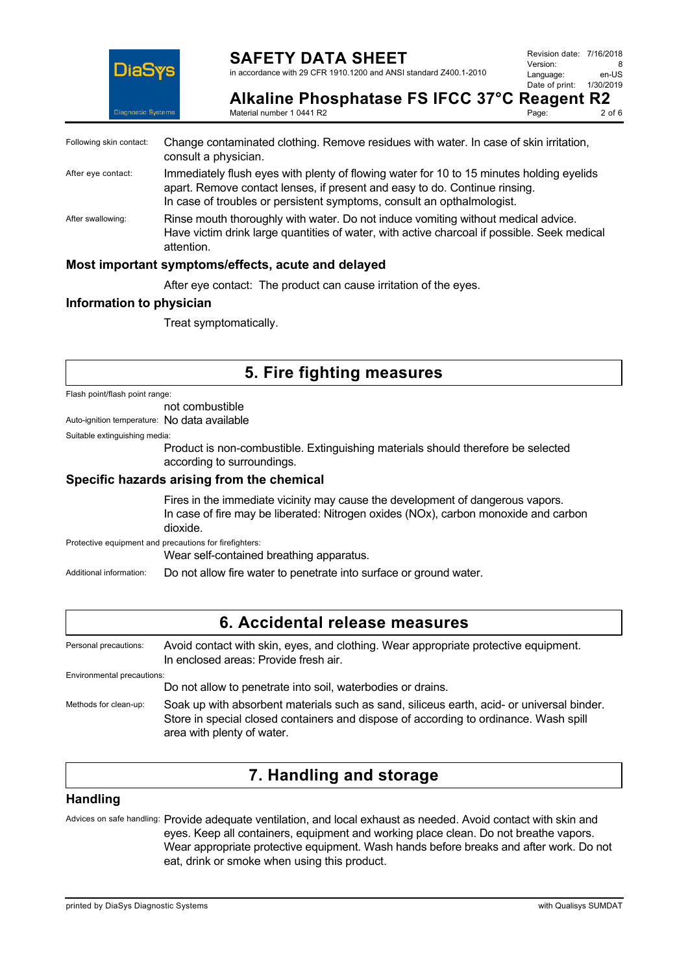

## **SAFETY DATA SHEET**

in accordance with 29 CFR 1910.1200 and ANSI standard Z400.1-2010

**Alkaline Phosphatase FS IFCC 37°C Reagent R2**<br>Material number 1.0441.B2 Material number 1 0441 R2 Page:

| Following skin contact: | Change contaminated clothing. Remove residues with water. In case of skin irritation,<br>consult a physician.                                                                                                                                    |
|-------------------------|--------------------------------------------------------------------------------------------------------------------------------------------------------------------------------------------------------------------------------------------------|
| After eye contact:      | Immediately flush eyes with plenty of flowing water for 10 to 15 minutes holding eyelids<br>apart. Remove contact lenses, if present and easy to do. Continue rinsing.<br>In case of troubles or persistent symptoms, consult an opthalmologist. |
| After swallowing:       | Rinse mouth thoroughly with water. Do not induce vomiting without medical advice.<br>Have victim drink large quantities of water, with active charcoal if possible. Seek medical<br>attention.                                                   |
|                         | Most important symptoms/effects, acute and delayed                                                                                                                                                                                               |

After eye contact: The product can cause irritation of the eyes.

## **Information to physician**

Treat symptomatically.

# **5. Fire fighting measures**

Flash point/flash point range:

not combustible

Auto-ignition temperature: No data available

Suitable extinguishing media:

Product is non-combustible. Extinguishing materials should therefore be selected according to surroundings.

### **Specific hazards arising from the chemical**

Fires in the immediate vicinity may cause the development of dangerous vapors. In case of fire may be liberated: Nitrogen oxides (NOx), carbon monoxide and carbon dioxide.

Protective equipment and precautions for firefighters:

Wear self-contained breathing apparatus.

Additional information: Do not allow fire water to penetrate into surface or ground water.

## **6. Accidental release measures**

Personal precautions: Avoid contact with skin, eyes, and clothing. Wear appropriate protective equipment. In enclosed areas: Provide fresh air. Environmental precautions: Do not allow to penetrate into soil, waterbodies or drains. Methods for clean-up: Soak up with absorbent materials such as sand, siliceus earth, acid- or universal binder. Store in special closed containers and dispose of according to ordinance. Wash spill

area with plenty of water.

# **7. Handling and storage**

### **Handling**

Advices on safe handling: Provide adequate ventilation, and local exhaust as needed. Avoid contact with skin and eyes. Keep all containers, equipment and working place clean. Do not breathe vapors. Wear appropriate protective equipment. Wash hands before breaks and after work. Do not eat, drink or smoke when using this product.

printed by DiaSys Diagnostic Systems with Qualisys SUMDAT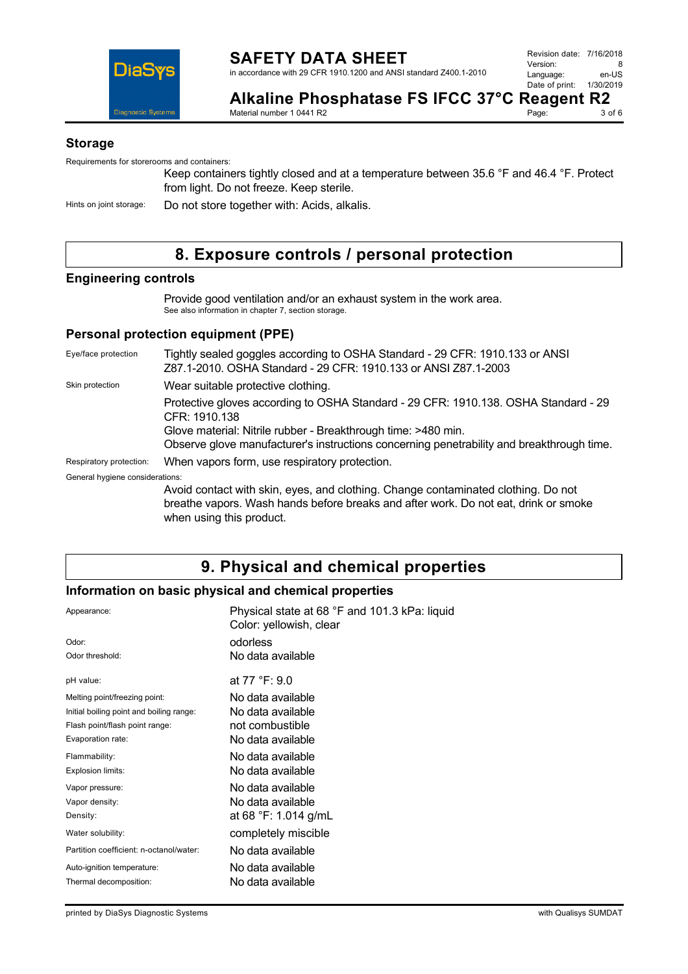

Page:

**Alkaline Phosphatase FS IFCC 37°C Reagent R2**<br>Material number 1.0441.B2 Material number 1 0441 R2

### **Storage**

Requirements for storerooms and containers:

Keep containers tightly closed and at a temperature between 35.6 °F and 46.4 °F. Protect from light. Do not freeze. Keep sterile.

Hints on joint storage: Do not store together with: Acids, alkalis.

# **8. Exposure controls / personal protection**

### **Engineering controls**

Provide good ventilation and/or an exhaust system in the work area. See also information in chapter 7, section storage.

## **Personal protection equipment (PPE)**

Eye/face protection Tightly sealed goggles according to OSHA Standard - 29 CFR: 1910.133 or ANSI Z87.1-2010. OSHA Standard - 29 CFR: 1910.133 or ANSI Z87.1-2003 Skin protection **Wear suitable protective clothing.** Protective gloves according to OSHA Standard - 29 CFR: 1910.138. OSHA Standard - 29 CFR: 1910.138 Glove material: Nitrile rubber - Breakthrough time: >480 min. Observe glove manufacturer's instructions concerning penetrability and breakthrough time. Respiratory protection: When vapors form, use respiratory protection. General hygiene considerations: Avoid contact with skin, eyes, and clothing. Change contaminated clothing. Do not breathe vapors. Wash hands before breaks and after work. Do not eat, drink or smoke when using this product.

# **9. Physical and chemical properties**

## **Information on basic physical and chemical properties**

| Appearance:                              | Physical state at 68 °F and 101.3 kPa: liquid<br>Color: yellowish, clear |
|------------------------------------------|--------------------------------------------------------------------------|
| Odor:                                    | odorless                                                                 |
| Odor threshold:                          | No data available                                                        |
| pH value:                                | at 77 °F: 9.0                                                            |
| Melting point/freezing point:            | No data available                                                        |
| Initial boiling point and boiling range: | No data available                                                        |
| Flash point/flash point range:           | not combustible                                                          |
| Evaporation rate:                        | No data available                                                        |
| Flammability:                            | No data available                                                        |
| Explosion limits:                        | No data available                                                        |
| Vapor pressure:                          | No data available                                                        |
| Vapor density:                           | No data available                                                        |
| Density:                                 | at 68 °F: 1.014 g/mL                                                     |
| Water solubility:                        | completely miscible                                                      |
| Partition coefficient: n-octanol/water:  | No data available                                                        |
| Auto-ignition temperature:               | No data available                                                        |
| Thermal decomposition:                   | No data available                                                        |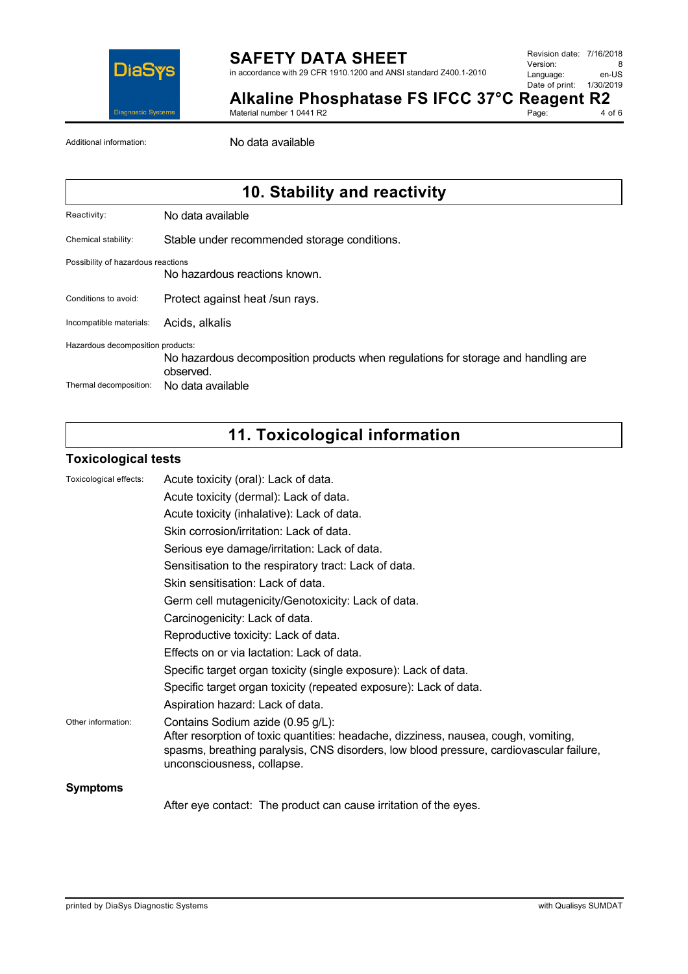

Revision date: 7/16/2018 Version: 8<br>
Language: en-US Language: Date of print: 1/30/2019

Page:

**Alkaline Phosphatase FS IFCC 37°C Reagent R2**<br>Material number 1 0441 R2<br>4 of 6

Material number 1 0441 R2

Additional information: No data available

# **10. Stability and reactivity**

Chemical stability: Stable under recommended storage conditions.

#### Possibility of hazardous reactions

No hazardous reactions known.

- Conditions to avoid: Protect against heat /sun rays.
- Incompatible materials: Acids, alkalis

Hazardous decomposition products:

No hazardous decomposition products when regulations for storage and handling are observed.

Thermal decomposition: No data available

# **11. Toxicological information**

### **Toxicological tests**

| Toxicological effects: | Acute toxicity (oral): Lack of data.                                                                                                                                                                                                              |
|------------------------|---------------------------------------------------------------------------------------------------------------------------------------------------------------------------------------------------------------------------------------------------|
|                        | Acute toxicity (dermal): Lack of data.                                                                                                                                                                                                            |
|                        | Acute toxicity (inhalative): Lack of data.                                                                                                                                                                                                        |
|                        | Skin corrosion/irritation: Lack of data.                                                                                                                                                                                                          |
|                        | Serious eye damage/irritation: Lack of data.                                                                                                                                                                                                      |
|                        | Sensitisation to the respiratory tract: Lack of data.                                                                                                                                                                                             |
|                        | Skin sensitisation: Lack of data.                                                                                                                                                                                                                 |
|                        | Germ cell mutagenicity/Genotoxicity: Lack of data.                                                                                                                                                                                                |
|                        | Carcinogenicity: Lack of data.                                                                                                                                                                                                                    |
|                        | Reproductive toxicity: Lack of data.                                                                                                                                                                                                              |
|                        | Effects on or via lactation: Lack of data.                                                                                                                                                                                                        |
|                        | Specific target organ toxicity (single exposure): Lack of data.                                                                                                                                                                                   |
|                        | Specific target organ toxicity (repeated exposure): Lack of data.                                                                                                                                                                                 |
|                        | Aspiration hazard: Lack of data.                                                                                                                                                                                                                  |
| Other information:     | Contains Sodium azide (0.95 g/L):<br>After resorption of toxic quantities: headache, dizziness, nausea, cough, vomiting,<br>spasms, breathing paralysis, CNS disorders, low blood pressure, cardiovascular failure,<br>unconsciousness, collapse. |
| <b>Symptoms</b>        |                                                                                                                                                                                                                                                   |
|                        | After eye contact: The product can cause irritation of the eyes.                                                                                                                                                                                  |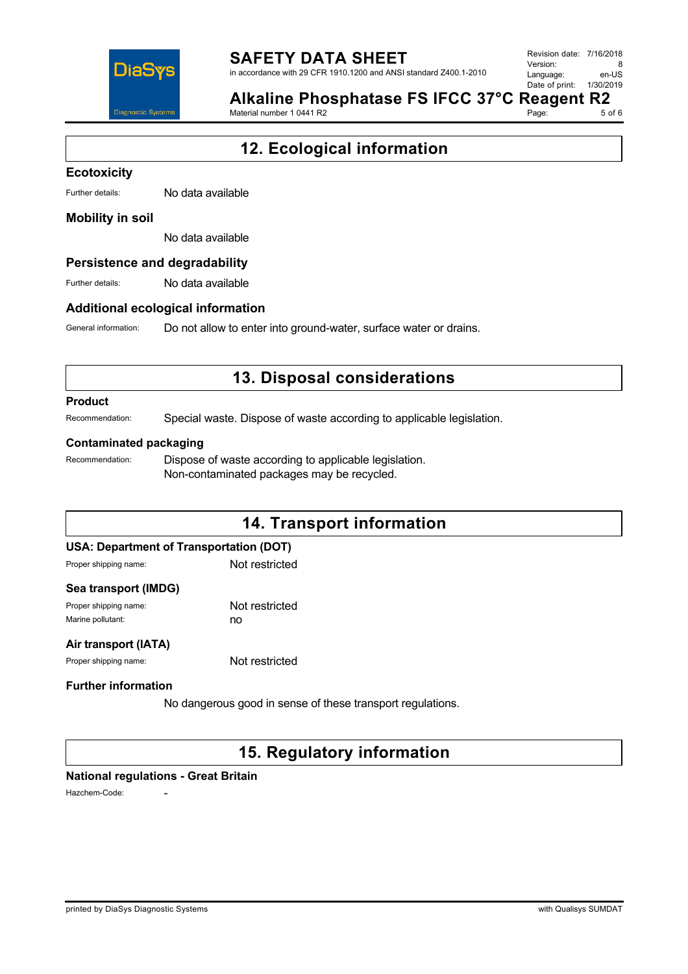

in accordance with 29 CFR 1910.1200 and ANSI standard Z400.1-2010

Revision date: 7/16/2018 Version: 8<br>Language: en-LIS Language: Date of print: 1/30/2019

Page:

|                           | Alkaline Phosphatase FS IFCC 37°C |  |  |
|---------------------------|-----------------------------------|--|--|
| Motorial number 1 0441 P2 |                                   |  |  |

**Reagent R2**<br>Page: 50f6

# **12. Ecological information**

#### **Ecotoxicity**

Further details: No data available

### **Mobility in soil**

No data available

### **Persistence and degradability**

Further details: No data available

### **Additional ecological information**

General information: Do not allow to enter into ground-water, surface water or drains.

# **13. Disposal considerations**

#### **Product**

Recommendation: Special waste. Dispose of waste according to applicable legislation.

#### **Contaminated packaging**

Recommendation: Dispose of waste according to applicable legislation. Non-contaminated packages may be recycled.

# **14. Transport information USA: Department of Transportation (DOT)** Proper shipping name: Not restricted

#### **Sea transport (IMDG)**

Proper shipping name: Not restricted Marine pollutant: now no

## **Air transport (IATA)**

Proper shipping name: Not restricted

## **Further information**

No dangerous good in sense of these transport regulations.

# **15. Regulatory information**

### **National regulations - Great Britain**

Hazchem-Code: